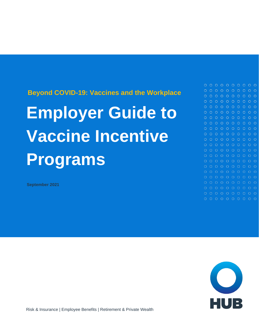**Beyond COVID-19: Vaccines and the Workplace** 

# **Employer Guide to Vaccine Incentive Programs**

**September 2021**



 $0 0 0 0 0 0 0 0 0 0 0$  $0 0 0 0 0 0 0 0 0 0$  $\begin{array}{ccccccccccccccccc} \circ & \circ & \circ & \circ & \circ & \circ & \circ & \circ \end{array}$ 

 $\begin{array}{ccccccccc}\n0 & 0 & 0 & 0 & 0\n\end{array}$ 

 $\circ$ 

 $0 0 0 0 0 0 0$ 

 $0 0 0 0 0 0 0 0 0 0$ 

 $0 0 0 0 0 0 0 0 0$  $0 0 0 0 0 0 0 0 0 0$ 

 $0000$ 

 $O$   $O$ 

 $\Omega$ 

 $\circ$ 

 $O$   $O$ 

 $\circ$   $\circ$ 

 $O$   $O$ 

 $O$   $O$ 

 $O$   $O$  $O$   $O$ 

 $O$   $O$  $O$   $O$ 

 $O$   $O$ 

 $O$   $O$ 

Risk & Insurance | Employee Benefits | Retirement & Private Wealth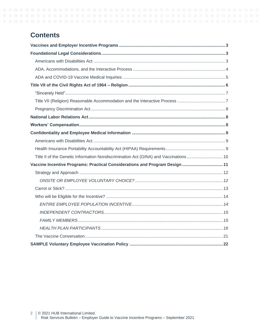# **Contents**

| Title II of the Genetic Information Nondiscrimination Act (GINA) and Vaccinations  10 |
|---------------------------------------------------------------------------------------|
| Vaccine Incentive Programs: Practical Considerations and Program Design  11           |
|                                                                                       |
|                                                                                       |
|                                                                                       |
|                                                                                       |
|                                                                                       |
|                                                                                       |
|                                                                                       |
|                                                                                       |
|                                                                                       |
|                                                                                       |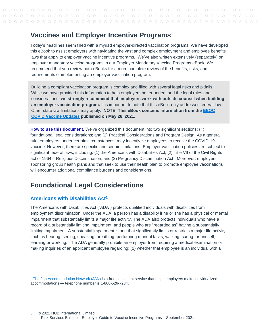# <span id="page-2-0"></span>**Vaccines and Employer Incentive Programs**

Today's headlines seem filled with a myriad employer-directed vaccination programs. We have developed this eBook to assist employers with navigating the vast and complex employment and employee benefits laws that apply to employer vaccine incentive programs. We've also written extensively (separately) on employer mandatory vaccine programs in our Employer Mandatory Vaccine Programs eBook. We recommend that you review both eBooks for a more complete review of the benefits, risks, and requirements of implementing an employer vaccination program.

Building a compliant vaccination program is complex and filled with several legal risks and pitfalls. While we have provided this information to help employers better understand the legal rules and considerations, **we strongly recommend that employers work with outside counsel when building an employer vaccination program.** It is important to note that this eBook only addresses federal law. Other state law limitations may apply. **NOTE: This eBook contains information from the [EEOC](https://www.eeoc.gov/wysk/what-you-should-know-about-covid-19-and-ada-rehabilitation-act-and-other-eeo-laws?utm_content=&utm_medium=email&utm_name=&utm_source=govdelivery&utm_term=)  [COVID Vaccine Updates](https://www.eeoc.gov/wysk/what-you-should-know-about-covid-19-and-ada-rehabilitation-act-and-other-eeo-laws?utm_content=&utm_medium=email&utm_name=&utm_source=govdelivery&utm_term=) published on May 28, 2021.**

**How to use this document.** We've organized this document into two significant sections: (1) foundational legal considerations; and (2) [Practical Considerations and Program Design.](#page-10-1) As a general rule, employers, under certain circumstances, may incentivize employees to receive the COVID-19 vaccine. However, there are specific and certain limitations. Employer vaccination policies are subject to significant federal laws, including: (1) the Americans with Disabilities Act; (2) Title VII of the Civil Rights act of 1964 – Religious Discrimination; and (3) Pregnancy Discrimination Act. Moreover, employers sponsoring group health plans and that seek to use their health plan to promote employee vaccinations will encounter additional compliance burdens and considerations.

# <span id="page-2-1"></span>**Foundational Legal Considerations**

# <span id="page-2-2"></span>**Americans with Disabilities Act<sup>1</sup>**

The Americans with Disabilities Act ("ADA") protects qualified individuals with disabilities from employment discrimination. Under the ADA, a person has a disability if he or she has a physical or mental impairment that substantially limits a major life activity. The ADA also protects individuals who have a record of a substantially limiting impairment, and people who are "regarded as" having a substantially limiting impairment. A substantial impairment is one that significantly limits or restricts a major life activity such as hearing, seeing, speaking, breathing, performing manual tasks, walking, caring for oneself, learning or working. The ADA generally prohibits an employer from requiring a medical examination or making inquiries of an applicant employee regarding: (1) whether that employee is an individual with a

<sup>&</sup>lt;sup>1</sup> The [Job Accommodation Network \(JAN\)](https://askjan.org/index.cfm) is a free consultant service that helps employers make individualized accommodations — telephone number is 1-800-526-7234.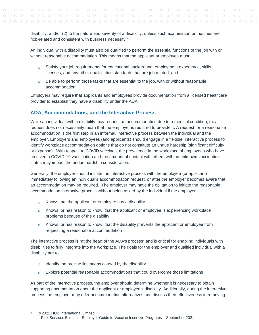disability; and/or (2) to the nature and severity of a disability, unless such examination or inquiries are "job-related and consistent with business necessity."

An individual with a disability must also be qualified to perform the essential functions of the job with or without reasonable accommodation. This means that the applicant or employee must:

- Satisfy your job requirements for educational background, employment experience, skills,  $\Omega$ licenses, and any other qualification standards that are job related; and
- $\circ$  Be able to perform those tasks that are essential to the job, with or without reasonable accommodation.

Employers may require that applicants and employees provide documentation from a licensed healthcare provider to establish they have a disability under the ADA.

## <span id="page-3-0"></span>**ADA, Accommodations, and the Interactive Process**

While an individual with a disability may request an accommodation due to a medical condition, this request does not necessarily mean that the employer is required to provide it. A request for a reasonable accommodation is the first step in an informal, interactive process between the individual and the employer. Employers and employees (and applicants) should engage in a flexible, interactive process to identify workplace accommodation options that do not constitute an undue hardship (significant difficulty or expense). With respect to COVID vaccines, the prevalence in the workplace of employees who have received a COVID-19 vaccination and the amount of contact with others with an unknown vaccination status may impact the undue hardship consideration.

Generally, the employer should initiate the interactive process with the employee (or applicant) immediately following an individual's accommodation request, or after the employer becomes aware that an accommodation may be required. The employer may have the obligation to initiate the reasonable accommodation interactive process without being asked by the individual if the employer:

- o Knows that the applicant or employee has a disability
- $\circ$  Knows, or has reason to know, that the applicant or employee is experiencing workplace problems because of the disability
- $\circ$  Knows, or has reason to know, that the disability prevents the applicant or employee from requesting a reasonable accommodation

The interactive process is "at the heart of the ADA's process" and is critical for enabling individuals with disabilities to fully integrate into the workplace. The goals for the employer and qualified individual with a disability are to:

- Identify the precise limitations caused by the disability  $\Omega$
- Explore potential reasonable accommodations that could overcome those limitations  $\Omega$

As part of the interactive process, the employer should determine whether it is necessary to obtain supporting documentation about the applicant or employee's disability. Additionally, during the interactive process the employer may offer accommodation alternatives and discuss their effectiveness in removing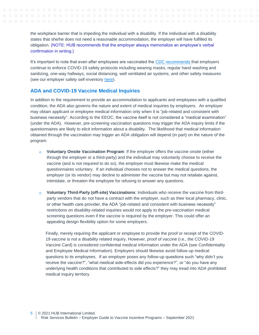the workplace barrier that is impeding the individual with a disability. If the individual with a disability states that she/he does not need a reasonable accommodation, the employer will have fulfilled its obligation. (NOTE: HUB recommends that the employer always memorialize an employee's verbal confirmation in writing.)

It's important to note that even after employees are vaccinated the [CDC recommends t](https://www.cdc.gov/coronavirus/2019-ncov/community/workplaces-businesses/index.html)hat employers continue to enforce COVID-19 safety protocols including wearing masks, regular hand washing and sanitizing, one-way hallways, social distancing, well ventilated air systems, and other safety measures (see our employer safety self-inventory [here\)](https://www.hubinternational.com/blog/2020/11/covid-workplace-safety-self-inventory/).

#### <span id="page-4-0"></span>**ADA and COVID-19 Vaccine Medical Inquiries**

In addition to the requirement to provide an accommodation to applicants and employees with a qualified condition, the ADA also governs the nature and extent of medical inquiries by employers. An employer may obtain applicant or employee medical information only when it is "job-related and consistent with business necessity". According to the EEOC, the vaccine itself is not considered a "medical examination" (under the ADA). However, pre-screening vaccination questions may trigger the ADA inquiry limits if the questionnaires are likely to elicit information about a disability. The likelihood that medical information obtained through the vaccination may trigger an ADA obligation will depend (in part) on the nature of the program:

- **Voluntary Onsite Vaccination Program**: If the employer offers the vaccine onsite (either  $\Omega$ through the employer or a third-party) and the individual may voluntarily choose to receive the vaccine (and is not required to do so), the employer must likewise make the medical questionnaires voluntary. If an individual chooses not to answer the medical questions, the employer (or its vendor) may decline to administer the vaccine but may not retaliate against, intimidate, or threaten the employee for refusing to answer any questions.
- **Voluntary Third-Party (off-site) Vaccinations**: Individuals who receive the vaccine from third- $\Omega$ party vendors that do not have a contract with the employer, such as their local pharmacy, clinic, or other health care provider, the ADA "job-related and consistent with business necessity" restrictions on disability-related inquiries would not apply to the pre-vaccination medical screening questions even if the vaccine is required by the employer. This could offer an appealing design flexibility option for some employers.

Finally, merely requiring the applicant or employee to provide the proof or receipt of the COVID-19 vaccine is not a disability related inquiry. However, proof of vaccine (i.e., the COVID-19 Vaccine Card) is considered confidential medical information under the ADA (see [Confidentiality](#page-8-0)  [and Employee Medical Information\)](#page-8-0). Employers should likewise avoid follow-up medical questions to its employees. If an employer poses any follow-up questions such "why didn't you receive the vaccine?", "what medical side-effects did you experience?", or "do you have any underlying health conditions that contributed to side effects?" they may tread into ADA prohibited medical inquiry territory.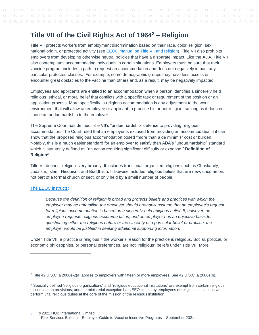# <span id="page-5-0"></span>**Title VII of the Civil Rights Act of 1964<sup>2</sup> – Religion**

Title VII protects workers from employment discrimination based on their race, color, religion, sex, national origin, or protected activity (see [EEOC manual on Title VII and religion\)](https://www.eeoc.gov/laws/guidance/section-12-religious-discrimination). Title VII also prohibits employers from developing otherwise neutral policies that have a disparate impact. Like the ADA, Title VII also contemplates accommodating individuals in certain situations. Employers must be sure that their vaccine program includes a path to request an accommodation and does not negatively impact any particular protected classes. For example, some demographic groups may have less access or encounter great obstacles to the vaccine than others and, as a result, may be negatively impacted.

Employees and applicants are entitled to an accommodation when a person identifies a sincerely held religious, ethical, or moral belief that conflicts with a specific task or requirement of the position or an application process. More specifically, a religious accommodation is any adjustment to the work environment that will allow an employee or applicant to practice his or her religion, so long as it does not cause an undue hardship to the employer.

The Supreme Court has defined Title VII's "undue hardship" defense to providing religious accommodation. The Court ruled that an employer is excused from providing an accommodation if it can show that the proposed religious accommodation posed "more than a de minimis" cost or burden. Notably, this is a much easier standard for an employer to satisfy than ADA's "undue hardship" standard which is statutorily defined as "an action requiring significant difficulty or expense." **Definition of Religion<sup>3</sup>**

Title VII defines "religion" very broadly. It includes traditional, organized religions such as Christianity, Judaism, Islam, Hinduism, and Buddhism. It likewise includes religious beliefs that are new, uncommon, not part of a formal church or sect, or only held by a small number of people.

## [The EEOC instructs:](https://www.eeoc.gov/laws/guidance/section-12-religious-discrimination)

*Because the definition of religion is broad and protects beliefs and practices with which the employer may be unfamiliar, the employer should ordinarily assume that an employee's request for religious accommodation is based on a sincerely-held religious belief. If, however, an employee requests religious accommodation, and an employer has an objective basis for questioning either the religious nature or the sincerity of a particular belief or practice, the employer would be justified in seeking additional supporting information.*

Under Title VII, a practice is religious if the worker's reason for the practice is religious. Social, political, or economic philosophies, or personal preferences, are not "religious" beliefs under Title VII. More

<sup>2</sup> Title 42 U.S.C. § 2000e-2(a) applies to employers with fifteen or more employees. See 42 U.S.C. § 2000e(b).

<sup>&</sup>lt;sup>3</sup> Specially defined "religious organizations" and "religious educational institutions" are exempt from certain religious discrimination provisions, and the ministerial exception bars EEO claims by employees of religious institutions who perform vital religious duties at the core of the mission of the religious institution.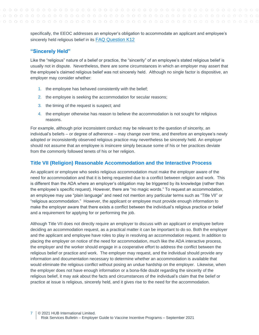specifically, the EEOC addresses an employer's obligation to accommodate an applicant and employee's sincerely held religious belief in its [FAQ Question K12](https://www.eeoc.gov/wysk/what-you-should-know-about-covid-19-and-ada-rehabilitation-act-and-other-eeo-laws?utm_content=&utm_medium=email&utm_name=&utm_source=govdelivery&utm_term=)

## <span id="page-6-0"></span>**"Sincerely Held"**

Like the "religious" nature of a belief or practice, the "sincerity" of an employee's stated religious belief is usually not in dispute. Nevertheless, there are some circumstances in which an employer may assert that the employee's claimed religious belief was not sincerely held. Although no single factor is dispositive, an employer may consider whether:

- 1. the employee has behaved consistently with the belief;
- 2. the employee is seeking the accommodation for secular reasons;
- 3. the timing of the request is suspect; and
- 4. the employer otherwise has reason to believe the accommodation is not sought for religious reasons.

For example, although prior inconsistent conduct may be relevant to the question of sincerity, an individual's beliefs – or degree of adherence – may change over time, and therefore an employee's newly adopted or inconsistently observed religious practice may nevertheless be sincerely held. An employer should not assume that an employee is insincere simply because some of his or her practices deviate from the commonly followed tenets of his or her religion.

## <span id="page-6-1"></span>**Title VII (Religion) Reasonable Accommodation and the Interactive Process**

An applicant or employee who seeks religious accommodation must make the employer aware of the need for accommodation and that it is being requested due to a conflict between religion and work. This is different than the ADA where an employer's obligation may be triggered by its knowledge (rather than the employee's specific request). However, there are "no magic words." To request an accommodation, an employee may use "plain language" and need not mention any particular terms such as "Title VII" or "religious accommodation." However, the applicant or employee must provide enough information to make the employer aware that there exists a conflict between the individual's religious practice or belief and a requirement for applying for or performing the job.

Although Title VII does not directly require an employer to discuss with an applicant or employee before deciding an accommodation request, as a practical matter it can be important to do so. Both the employer and the applicant and employee have roles to play in resolving an accommodation request. In addition to placing the employer on notice of the need for accommodation, much like the ADA interactive process, the employer and the worker should engage in a cooperative effort to address the conflict between the religious belief or practice and work. The employer may request, and the individual should provide any information and documentation necessary to determine whether an accommodation is available that would eliminate the religious conflict without posing an undue hardship on the employer. Likewise, when the employer does not have enough information or a bona-fide doubt regarding the sincerity of the religious belief, it may ask about the facts and circumstances of the individual's claim that the belief or practice at issue is religious, sincerely held, and it gives rise to the need for the accommodation.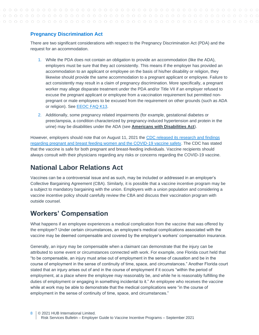# <span id="page-7-0"></span>**Pregnancy Discrimination Act**

There are two significant considerations with respect to the Pregnancy Discrimination Act (PDA) and the request for an accommodation.

- 1. While the PDA does not contain an obligation to provide an accommodation (like the ADA), employers must be sure that they act consistently. This means if the employer has provided an accommodation to an applicant or employee on the basis of his/her disability or religion, they likewise should provide the same accommodation to a pregnant applicant or employee. Failure to act consistently may result in a claim of pregnancy discrimination. More specifically, a pregnant worker may allege disparate treatment under the PDA and/or Title VII if an employer refused to excuse the pregnant applicant or employee from a vaccination requirement but permitted nonpregnant or male employees to be excused from the requirement on other grounds (such as ADA or religion). See [EEOC FAQ K13.](https://www.eeoc.gov/wysk/what-you-should-know-about-covid-19-and-ada-rehabilitation-act-and-other-eeo-laws?utm_content=&utm_medium=email&utm_name=&utm_source=govdelivery&utm_term=)
- 2. Additionally, some pregnancy related impairments (for example, gestational diabetes or preeclampsia, a condition characterized by pregnancy-induced hypertension and protein in the urine) may be disabilities under the ADA (see **[Americans with Disabilities Act](#page-2-2)**).

However, employers should note that on August 11, 2021 the CDC released its research and findings [regarding pregnant and breast feeding women and the COVID-19 vaccine safety.](https://www.cdc.gov/media/releases/2021/s0811-vaccine-safe-pregnant.html) The CDC has stated that the vaccine is safe for both pregnant and breast-feeding individuals. Vaccine recipients should always consult with their physicians regarding any risks or concerns regarding the COVID-19 vaccine.

# <span id="page-7-1"></span>**National Labor Relations Act**

Vaccines can be a controversial issue and as such, may be included or addressed in an employer's Collective Bargaining Agreement (CBA). Similarly, it is possible that a vaccine incentive program may be a subject to mandatory bargaining with the union. Employers with a union population and considering a vaccine incentive policy should carefully review the CBA and discuss their vaccination program with outside counsel.

# <span id="page-7-2"></span>**Workers' Compensation**

What happens if an employee experiences a medical complication from the vaccine that was offered by the employer? Under certain circumstances, an employee's medical complications associated with the vaccine may be deemed compensable and covered by the employer's workers' compensation insurance.

Generally, an injury may be compensable when a claimant can demonstrate that the injury can be attributed to some event or circumstances connected with work. For example, one Florida court held that "to be compensable, an injury must arise out of employment in the sense of causation and be in the course of employment in the sense of continuity of time, space, and circumstances." Another Florida court stated that an injury arises out of and in the course of employment if it occurs "within the period of employment, at a place where the employee may reasonably be, and while he is reasonably fulfilling the duties of employment or engaging in something incidental to it." An employee who receives the vaccine while at work may be able to demonstrate that the medical complications were "in the course of employment in the sense of continuity of time, space, and circumstances."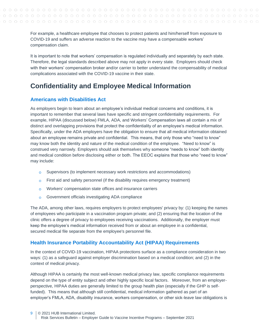For example, a healthcare employee that chooses to protect patients and him/herself from exposure to COVID-19 and suffers an adverse reaction to the vaccine may have a compensable workers' compensation claim.

It is important to note that workers' compensation is regulated individually and separately by each state. Therefore, the legal standards described above may not apply in every state. Employers should check with their workers' compensation broker and/or carrier to better understand the compensability of medical complications associated with the COVID-19 vaccine in their state.

# <span id="page-8-0"></span>**Confidentiality and Employee Medical Information**

# <span id="page-8-1"></span>**Americans with Disabilities Act**

As employers begin to learn about an employee's individual medical concerns and conditions, it is important to remember that several laws have specific and stringent confidentiality requirements. For example, HIPAA (discussed below) FMLA, ADA, and Workers' Compensation laws all contain a mix of distinct and overlapping provisions that protect the confidentiality of an employee's medical information. Specifically, under the ADA employers have the obligation to ensure that all medical information obtained about an employee remains private and confidential. This means, that only those who "need to know" may know both the identity and nature of the medical condition of the employee. "Need to know" is construed very narrowly. Employers should ask themselves why someone "needs to know" both identity and medical condition before disclosing either or both. The EEOC explains that those who "need to know" may include:

- Supervisors (to implement necessary work restrictions and accommodations)  $\circ$
- $\circ$  First aid and safety personnel (if the disability requires emergency treatment)
- Workers' compensation state offices and insurance carriers  $\Omega$
- Government officials investigating ADA compliance  $\circ$

The ADA, among other laws, requires employers to protect employees' privacy by: (1) keeping the names of employees who participate in a vaccination program private; and (2) ensuring that the location of the clinic offers a degree of privacy to employees receiving vaccinations. Additionally, the employer must keep the employee's medical information received from or about an employee in a confidential, secured medical file separate from the employee's personnel file.

## <span id="page-8-2"></span>**Health Insurance Portability Accountability Act (HIPAA) Requirements**

In the context of COVID-19 vaccination, HIPAA protections surface as a compliance consideration in two ways: (1) as a safeguard against employer discrimination based on a medical condition; and (2) in the context of medical privacy.

Although HIPAA is certainly the most well-known medical privacy law, specific compliance requirements depend on the type of entity subject and other highly specific local factors. Moreover, from an employerperspective, HIPAA duties are generally limited to the group health plan (especially if the GHP is selffunded). This means that although still confidential, medical information gathered as part of an employer's FMLA, ADA, disability insurance, workers compensation, or other sick-leave law obligations is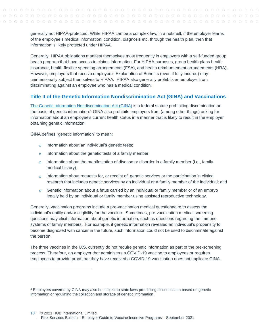generally not HIPAA-protected. While HIPAA can be a complex law, in a nutshell, if the employer learns of the employee's medical information, condition, diagnosis etc. through the health plan, then that information is likely protected under HIPAA.

Generally, HIPAA obligations manifest themselves most frequently in employers with a self-funded group health program that have access to claims information. For HIPAA purposes, group health plans health insurance, health flexible spending arrangements (FSA), and health reimbursement arrangements (HRA). However, employers that receive employee's Explanation of Benefits (even if fully insured) may unintentionally subject themselves to HIPAA. HIPAA also generally prohibits an employer from discriminating against an employee who has a medical condition.

## <span id="page-9-0"></span>**Title II of the Genetic Information Nondiscrimination Act (GINA) and Vaccinations**

The Genetic Information [Nondiscrimination](https://1.next.westlaw.com/Document/I03f4d97feee311e28578f7ccc38dcbee/View/FullText.html?originationContext=document&transitionType=DocumentItem&contextData=(sc.Search)) Act (GINA) is a federal statute prohibiting discrimination on the basis of genetic information.<sup>4</sup> GINA also prohibits employers from (among other things) asking for information about an employee's current health status in a manner that is likely to result in the employer obtaining genetic information.

GINA defines "genetic information" to mean:

- $\circ$  Information about an individual's genetic tests;
- Information about the genetic tests of a family member;  $\circ$
- $\circ$  Information about the manifestation of disease or disorder in a family member (i.e., family medical history);
- $\circ$  Information about requests for, or receipt of, genetic services or the participation in clinical research that includes genetic services by an individual or a family member of the individual; and
- Genetic information about a fetus carried by an individual or family member or of an embryo  $\Omega$ legally held by an individual or family member using assisted reproductive technology.

Generally, vaccination programs include a pre-vaccination medical questionnaire to assess the individual's ability and/or eligibility for the vaccine. Sometimes, pre-vaccination medical screening questions may elicit information about genetic information, such as questions regarding the immune systems of family members. For example, if genetic information revealed an individual's propensity to become diagnosed with cancer in the future, such information could not be used to discriminate against the person.

The three vaccines in the U.S. currently do not require genetic information as part of the pre-screening process. Therefore, an employer that administers a COVID-19 vaccine to employees or requires employees to provide proof that they have received a COVID-19 vaccination does not implicate GINA.

<sup>4</sup> Employers covered by GINA may also be subject to state laws prohibiting discrimination based on genetic information or regulating the collection and storage of genetic information.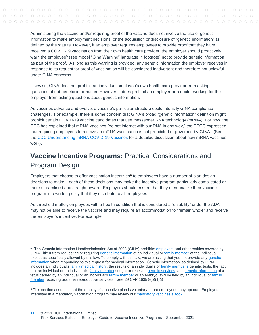Administering the vaccine and/or requiring proof of the vaccine does not involve the use of genetic information to make employment decisions, or the acquisition or disclosure of "genetic information" as defined by the statute. However, if an employer requires employees to provide proof that they have received a COVID-19 vaccination from their own health care provider, the employer should proactively warn the employee<sup>5</sup> (see model "Gina Warning" language in footnote) not to provide genetic information as part of the proof. As long as this warning is provided, any genetic information the employer receives in response to its request for proof of vaccination will be considered inadvertent and therefore not unlawful under GINA concerns.

Likewise, GINA does not prohibit an individual employee's own health care provider from asking questions about genetic information. However, it does prohibit an employer or a doctor working for the employer from asking questions about genetic information.

As vaccines advance and evolve, a vaccine's particular structure could intensify GINA compliance challenges. For example, there is some concern that GINA's broad "genetic information" definition might prohibit certain COVID-19 vaccine candidates that use messenger RNA technology (mRNA). For now, the CDC has explained that mRNA vaccines "do not interact with our DNA in any way," the EEOC expressed that requiring employees to receive an mRNA vaccination is not prohibited or governed by GINA. (See the [CDC Understanding mRNA COVID-19 Vaccines](https://www.cdc.gov/coronavirus/2019-ncov/vaccines/different-vaccines/mrna.html) for a detailed discussion about how mRNA vaccines work).

# <span id="page-10-1"></span><span id="page-10-0"></span>**Vaccine Incentive Programs:** Practical Considerations and Program Design

Employers that choose to offer vaccination incentives<sup>6</sup> to employees have a number of plan design decisions to make – each of these decisions may make the incentive program particularly complicated or more streamlined and straightforward. Employers should ensure that they memorialize their vaccine program in a written policy that they distribute to all employees.

As threshold matter, employees with a health condition that is considered a "disability" under the ADA may not be able to receive the vaccine and may require an accommodation to "remain whole" and receive the employer's incentive. For example:

<sup>&</sup>lt;sup>5</sup> "The Genetic Information Nondiscrimination Act of 2008 (GINA) prohibits [employers](https://www.law.cornell.edu/definitions/index.php?width=840&height=800&iframe=true&def_id=66f1144f18c0e0ec109b667ab6dd1956&term_occur=999&term_src=Title:29:Subtitle:B:Chapter:XIV:Part:1635:1635.8) and other entities covered by GINA Title II from requesting or requiring [genetic information](https://www.law.cornell.edu/definitions/index.php?width=840&height=800&iframe=true&def_id=f436e666131ebb067520725b26673b96&term_occur=999&term_src=Title:29:Subtitle:B:Chapter:XIV:Part:1635:1635.8) of an individual or [family member](https://www.law.cornell.edu/definitions/index.php?width=840&height=800&iframe=true&def_id=62c47277200dcbc752b07bc22f2bd6ec&term_occur=999&term_src=Title:29:Subtitle:B:Chapter:XIV:Part:1635:1635.8) of the individual, except as specifically allowed by this law. To comply with this law, we are asking that you not provide any genetic [information](https://www.law.cornell.edu/definitions/index.php?width=840&height=800&iframe=true&def_id=f436e666131ebb067520725b26673b96&term_occur=999&term_src=Title:29:Subtitle:B:Chapter:XIV:Part:1635:1635.8) when responding to this request for medical information. 'Genetic information' as defined by GINA, includes an individual's [family medical history,](https://www.law.cornell.edu/definitions/index.php?width=840&height=800&iframe=true&def_id=5a8721fab33d6ad0a1e474dc7dec607d&term_occur=999&term_src=Title:29:Subtitle:B:Chapter:XIV:Part:1635:1635.8) the results of an individual's or [family member's](https://www.law.cornell.edu/definitions/index.php?width=840&height=800&iframe=true&def_id=62c47277200dcbc752b07bc22f2bd6ec&term_occur=999&term_src=Title:29:Subtitle:B:Chapter:XIV:Part:1635:1635.8) genetic tests, the fact that an individual or an individual's [family member](https://www.law.cornell.edu/definitions/index.php?width=840&height=800&iframe=true&def_id=62c47277200dcbc752b07bc22f2bd6ec&term_occur=999&term_src=Title:29:Subtitle:B:Chapter:XIV:Part:1635:1635.8) sought or received [genetic services,](https://www.law.cornell.edu/definitions/index.php?width=840&height=800&iframe=true&def_id=824ef43ab439c222ea845810df652247&term_occur=999&term_src=Title:29:Subtitle:B:Chapter:XIV:Part:1635:1635.8) and [genetic information](https://www.law.cornell.edu/definitions/index.php?width=840&height=800&iframe=true&def_id=f436e666131ebb067520725b26673b96&term_occur=999&term_src=Title:29:Subtitle:B:Chapter:XIV:Part:1635:1635.8) of a fetus carried by an individual or an individual's [family member](https://www.law.cornell.edu/definitions/index.php?width=840&height=800&iframe=true&def_id=62c47277200dcbc752b07bc22f2bd6ec&term_occur=999&term_src=Title:29:Subtitle:B:Chapter:XIV:Part:1635:1635.8) or an embryo lawfully held by an individual or family [member](https://www.law.cornell.edu/definitions/index.php?width=840&height=800&iframe=true&def_id=62c47277200dcbc752b07bc22f2bd6ec&term_occur=999&term_src=Title:29:Subtitle:B:Chapter:XIV:Part:1635:1635.8) receiving assistive reproductive services." See 29 CFR 1635.8(b)(1)(i)

 $6$  This section assumes that the employer's incentive plan is voluntary – that employees may opt out. Employers interested in a mandatory vaccination program may review our [mandatory vaccines eBook.](/Users/hubinternational/Downloads/255480497-Abramson--AIPLA-COVID-19-paper-FINAL.docx)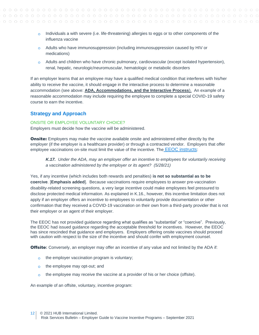- $\circ$  Individuals a with severe (i.e. life-threatening) allergies to eggs or to other components of the influenza vaccine
- $\circ$  Adults who have immunosuppression (including immunosuppression caused by HIV or medications)
- $\circ$  Adults and children who have chronic pulmonary, cardiovascular (except isolated hypertension), renal, hepatic, neurologic/neuromuscular, hematologic or metabolic disorders

If an employer learns that an employee may have a qualified medical condition that interferes with his/her ability to receive the vaccine, it should engage in the interactive process to determine a reasonable accommodation (see above: **ADA, Accommodations, [and the Interactive Process](#page-3-0)**). An example of a reasonable accommodation may include requiring the employee to complete a special COVID-19 safety course to earn the incentive.

## <span id="page-11-0"></span>**Strategy and Approach**

#### <span id="page-11-1"></span>ONSITE OR EMPLOYEE VOLUNTARY CHOICE?

Employers must decide how the vaccine will be administered.

**Onsite:** Employers may make the vaccine available onsite and administered either directly by the employer (if the employer is a healthcare provider) or through a contracted vendor. Employers that offer employee vaccinations on-site must limit the value of the incentive. The [EEOC instructs](https://www.eeoc.gov/wysk/what-you-should-know-about-covid-19-and-ada-rehabilitation-act-and-other-eeo-laws?utm_content=&utm_medium=email&utm_name=&utm_source=govdelivery&utm_term=):

*K.17. Under the ADA, may an employer offer an incentive to employees for voluntarily receiving a vaccination administered by the employer or its agent? (5/28/21)*

Yes, if any incentive (which includes both rewards and penalties) **is not so substantial as to be coercive**. [**Emphasis added**]. Because vaccinations require employees to answer pre-vaccination disability-related screening questions, a very large incentive could make employees feel pressured to disclose protected medical information. As explained in K.16., however, this incentive limitation does not apply if an employer offers an incentive to employees to voluntarily provide documentation or other confirmation that they received a COVID-19 vaccination on their own from a third-party provider that is not their employer or an agent of their employer.

The EEOC has not provided guidance regarding what qualifies as "substantial" or "coercive". Previously, the EEOC had issued guidance regarding the acceptable threshold for incentives. However, the EEOC has since rescinded that guidance and employers. Employers offering onsite vaccines should proceed with caution with respect to the size of the incentive and should confer with employment counsel.

**Offsite:** Conversely, an employer may offer an incentive of any value and not limited by the ADA if:

- o the employer vaccination program is voluntary;
- the employee may opt-out; and  $\Omega$
- the employee may receive the vaccine at a provider of his or her choice (offsite).  $\Omega$

An example of an offsite, voluntary, incentive program: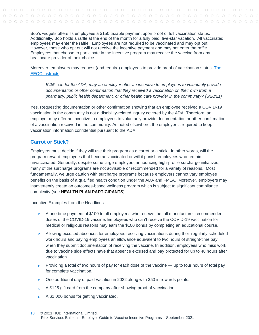Bob's widgets offers its employees a \$150 taxable payment upon proof of full vaccination status. Additionally, Bob holds a raffle at the end of the month for a fully paid, five-star vacation. All vaccinated employees may enter the raffle. Employees are not required to be vaccinated and may opt out. However, those who opt out will not receive the incentive payment and may not enter the raffle. Employees that choose to participate in the incentive program may receive the vaccine from any healthcare provider of their choice.

Moreover, employers may request (and require) employees to provide proof of vaccination status. [The](https://www.eeoc.gov/wysk/what-you-should-know-about-covid-19-and-ada-rehabilitation-act-and-other-eeo-laws?utm_content=&utm_medium=email&utm_name=&utm_source=govdelivery&utm_term=)  [EEOC instructs:](https://www.eeoc.gov/wysk/what-you-should-know-about-covid-19-and-ada-rehabilitation-act-and-other-eeo-laws?utm_content=&utm_medium=email&utm_name=&utm_source=govdelivery&utm_term=)

*K.16. Under the ADA, may an employer offer an incentive to employees to voluntarily provide documentation or other confirmation that they received a vaccination on their own from a pharmacy, public health department, or other health care provider in the community? (5/28/21)*

Yes. Requesting documentation or other confirmation showing that an employee received a COVID-19 vaccination in the community is not a disability-related inquiry covered by the ADA. Therefore, an employer may offer an incentive to employees to voluntarily provide documentation or other confirmation of a vaccination received in the community. As noted elsewhere, the employer is required to keep vaccination information confidential pursuant to the ADA.

## <span id="page-12-0"></span>**Carrot or Stick?**

Employers must decide if they will use their program as a carrot or a stick. In other words, will the program reward employees that become vaccinated or will it punish employees who remain unvaccinated. Generally, despite some large employers announcing high-profile surcharge initiatives, many of the surcharge programs are not advisable or recommended for a variety of reasons. Most fundamentally, we urge caution with surcharge programs because employers cannot vary employee benefits on the basis of a qualified health condition under the ADA and FMLA. Moreover, employers may inadvertently create an outcomes-based wellness program which is subject to significant compliance complexity (see **[HEALTH PLAN PARTICIPANTS](#page-15-0)**).

Incentive Examples from the Headlines

- A one-time payment of \$100 to all employees who receive the full manufacturer-recommended doses of the COVID-19 vaccine. Employees who can't receive the COVID-19 vaccination for medical or religious reasons may earn the \$100 bonus by completing an educational course.
- $\circ$  Allowing excused absences for employees receiving vaccinations during their regularly scheduled work hours and paying employees an allowance equivalent to two hours of straight-time pay when they submit documentation of receiving the vaccine. In addition, employees who miss work due to vaccine side effects have that absence excused and pay protected for up to 48 hours after vaccination
- $\circ$  Providing a total of two hours of pay for each dose of the vaccine up to four hours of total pay for complete vaccination.
- $\circ$  One additional day of paid vacation in 2022 along with \$50 in rewards points.
- $\Omega$ A \$125 gift card from the company after showing proof of vaccination.
- o A \$1,000 bonus for getting vaccinated.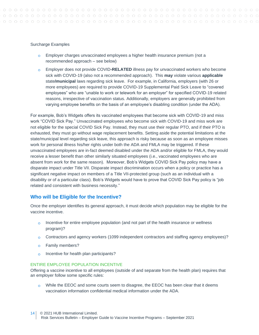#### Surcharge Examples

- Employer charges unvaccinated employees a higher health insurance premium (not a recommended approach – see below)
- Employer does not provide COVID**-RELATED** illness pay for unvaccinated workers who become sick with COVID-19 (also not a recommended approach). This **may** violate various **applicable**  state**/municipal** laws regarding sick leave. For example, in California, employers (with 26 or more employees) are required to provide COVID-19 Supplemental Paid Sick Leave to "covered employees" who are "unable to work or telework for an employer" for specified COVID-19 related reasons, irrespective of vaccination status. Additionally, employers are generally prohibited from varying employee benefits on the basis of an employee's disabling condition (under the ADA).

For example, Bob's Widgets offers its vaccinated employees that become sick with COVID-19 and miss work "COVID Sick Pay." Unvaccinated employees who become sick with COVID-19 and miss work are not eligible for the special COVID Sick Pay. Instead, they must use their regular PTO, and if their PTO is exhausted, they must go without wage replacement benefits. Setting aside the potential limitations at the state/municipal level regarding sick leave, this approach is risky because as soon as an employee misses work for personal illness his/her rights under both the ADA and FMLA may be triggered. If these unvaccinated employees are in-fact deemed disabled under the ADA and/or eligible for FMLA, they would receive a lesser benefit than other similarly situated employees (i.e., vaccinated employees who are absent from work for the same reason). Moreover, Bob's Widgets COVID Sick Pay policy may have a disparate impact under Title VII. Disparate impact discrimination occurs when a policy or practice has a significant negative impact on members of a Title VII-protected group (such as an individual with a disability or of a particular class). Bob's Widgets would have to prove that COVID Sick Pay policy is "job related and consistent with business necessity."

#### <span id="page-13-0"></span>**Who will be Eligible for the Incentive?**

Once the employer identifies its general approach, it must decide which population may be eligible for the vaccine incentive.

- Incentive for entire employee population (and not part of the health insurance or wellness  $\Omega$ program)?
- Contractors and agency workers (1099 independent contractors and staffing agency employees)?
- Family members?  $\Omega$
- Incentive for health plan participants?  $\Omega$

#### <span id="page-13-1"></span>ENTIRE EMPLOYEE POPULATION INCENTIVE

Offering a vaccine incentive to all employees (outside of and separate from the health plan) requires that an employer follow some specific rules:

While the EEOC and some courts seem to disagree, the EEOC has been clear that it deems  $\Omega$ vaccination information confidential medical information under the ADA.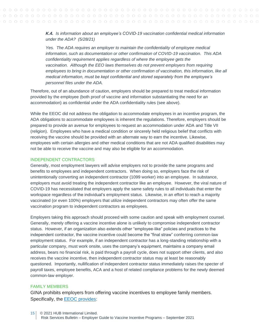## *K.4. Is information about an employee's COVID-19 vaccination confidential medical information under the ADA? (5/28/21)*

*Yes. The ADA requires an employer to maintain the confidentiality of employee medical information, such as documentation or other confirmation of COVID-19 vaccination. This ADA confidentiality requirement applies regardless of where the employee gets the vaccination. Although the EEO laws themselves do not prevent employers from requiring employees to bring in documentation or other confirmation of vaccination, this information, like all medical information, must be kept confidential and stored separately from the employee's personnel files under the ADA.*

Therefore, out of an abundance of caution, employers should be prepared to treat medical information provided by the employee (both proof of vaccine and information substantiating the need for an accommodation) as confidential under the ADA confidentiality rules (see above).

While the EEOC did not address the obligation to accommodate employees in an incentive program, the ADA obligations to accommodate employees is inherent the regulations. Therefore, employers should be prepared to provide an avenue for employees to request an accommodation under ADA and Title VII (religion). Employees who have a medical condition or sincerely held religious belief that conflicts with receiving the vaccine should be provided with an alternate way to earn the incentive. Likewise, employees with certain allergies and other medical conditions that are not ADA qualified disabilities may not be able to receive the vaccine and may also be eligible for an accommodation.

#### <span id="page-14-0"></span>INDEPENDENT CONTRACTORS

Generally, most employment lawyers will advise employers not to provide the same programs and benefits to employees and independent contractors. When doing so, employers face the risk of unintentionally converting an independent contractor (1099 worker) into an employee. In substance, employers must avoid treating the independent contractor like an employee. However, the viral nature of COVID-19 has necessitated that employers apply the same safety rules to all individuals that enter the workspace regardless of the individual's employment status. Likewise, in an effort to reach a majority vaccinated (or even 100%) employers that utilize independent contractors may often offer the same vaccination program to independent contractors as employees.

Employers taking this approach should proceed with some caution and speak with employment counsel. Generally, merely offering a vaccine incentive alone is unlikely to compromise independent contractor status. However, if an organization also extends other "employee-like" policies and practices to the independent contractor, the vaccine incentive could become the "final straw" conferring common-law employment status. For example, if an independent contractor has a long-standing relationship with a particular company, must work onsite, uses the company's equipment, maintains a company email address, bears no financial risk, is paid through a payroll cycle, does not support other clients, and also receives the vaccine incentive, then independent contractor status may at least be reasonably questioned. Importantly, nullification of independent contractor status immediately raises the specter of payroll taxes, employee benefits, ACA and a host of related compliance problems for the newly deemed common-law employer.

#### <span id="page-14-1"></span>FAMILY MEMBERS

GINA prohibits employers from offering vaccine incentives to employee family members. Specifically, the [EEOC provides:](https://www.eeoc.gov/wysk/what-you-should-know-about-covid-19-and-ada-rehabilitation-act-and-other-eeo-laws?utm_content=&utm_medium=email&utm_name=&utm_source=govdelivery&utm_term=)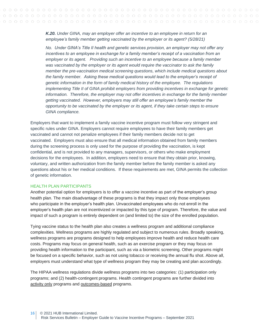*K.20. Under GINA, may an employer offer an incentive to an employee in return for an employee's family member getting vaccinated by the employer or its agent? (5/28/21)*

*No. Under GINA's Title II health and genetic services provision, an employer may not offer any incentives to an employee in exchange for a family member's receipt of a vaccination from an employer or its agent. Providing such an incentive to an employee because a family member was vaccinated by the employer or its agent would require the vaccinator to ask the family member the pre-vaccination medical screening questions, which include medical questions about the family member. Asking these medical questions would lead to the employer's receipt of genetic information in the form of family medical history of the employee. The regulations implementing Title II of GINA prohibit employers from providing incentives in exchange for genetic information. Therefore, the employer may not offer incentives in exchange for the family member getting vaccinated. However, employers may still offer an employee's family member the opportunity to be vaccinated by the employer or its agent, if they take certain steps to ensure GINA compliance.*

Employers that want to implement a family vaccine incentive program must follow very stringent and specific rules under GINA. Employers cannot require employees to have their family members get vaccinated and cannot not penalize employees if their family members decide not to get vaccinated. Employers must also ensure that all medical information obtained from family members during the screening process is only used for the purpose of providing the vaccination, is kept confidential, and is not provided to any managers, supervisors, or others who make employment decisions for the employees. In addition, employers need to ensure that they obtain prior, knowing, voluntary, and written authorization from the family member before the family member is asked any questions about his or her medical conditions. If these requirements are met, GINA permits the collection of genetic information.

#### <span id="page-15-0"></span>HEALTH PLAN PARTICIPANTS

Another potential option for employers is to offer a vaccine incentive as part of the employer's group health plan. The main disadvantage of these programs is that they impact only those employees who participate in the employer's health plan. Unvaccinated employees who do not enroll in the employer's health plan are not incentivized or impacted by this type of program. Therefore, the value and impact of such a program is entirely dependent on (and limited to) the size of the enrolled population.

Tying vaccine status to the health plan also creates a wellness program and additional compliance complexities. Wellness programs are highly regulated and subject to numerous rules. Broadly speaking, wellness programs are programs designed to help employees improve health and reduce health care costs. Programs may focus on general health, such as an exercise program or they may focus on providing health information to the participant, such as via a biometric screening. Other programs might be focused on a specific behavior, such as not using tobacco or receiving the annual flu shot. Above all, employers must understand what type of wellness program they may be creating and plan accordingly.

The HIPAA wellness regulations divide wellness programs into two categories: (1) participation only programs; and (2) health-contingent programs. Health contingent programs are further divided into activity only programs and outcomes-based programs.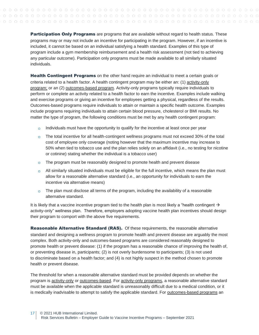**Participation Only Programs** are programs that are available without regard to health status. These programs may or may not include an incentive for participating in the program. However, if an incentive is included, it cannot be based on an individual satisfying a health standard. Examples of this type of program include a gym membership reimbursement and a health risk assessment (not tied to achieving any particular outcome). Participation only programs must be made available to all similarly situated individuals.

**Health Contingent Programs** on the other hand require an individual to meet a certain goals or criteria related to a health factor. A health contingent program may be either an: (1) activity-only program; or an (2) outcomes-based program. Activity-only programs typically require individuals to perform or complete an activity related to a health factor to earn the incentive. Examples include walking and exercise programs or giving an incentive for employees getting a physical, regardless of the results. Outcomes-based programs require individuals to attain or maintain a specific health outcome. Examples include programs requiring individuals to attain certain blood pressure, cholesterol or BMI results. No matter the type of program, the following conditions must be met by any health contingent program:

- Individuals must have the opportunity to qualify for the incentive at least once per year  $\circ$
- $\circ$  The total incentive for all health-contingent wellness programs must not exceed 30% of the total cost of employee only coverage (noting however that the maximum incentive may increase to 50% when tied to tobacco use and the plan relies solely on an affidavit (i.e., no testing for nicotine or cotinine) stating whether the individual is a tobacco user)
- $\circ$  The program must be reasonably designed to promote health and prevent disease
- $\circ$  All similarly situated individuals must be eligible for the full incentive, which means the plan must allow for a reasonable alternative standard (i.e., an opportunity for individuals to earn the incentive via alternative means)
- $\circ$  The plan must disclose all terms of the program, including the availability of a reasonable alternative standard.

It is likely that a vaccine incentive program tied to the health plan is most likely a "health contingent  $\rightarrow$ activity-only" wellness plan. Therefore, employers adopting vaccine health plan incentives should design their program to comport with the above five requirements.

Reasonable Alternative Standard (RAS). Of these requirements, the reasonable alternative standard and designing a wellness program to promote health and prevent disease are arguably the most complex. Both activity-only and outcomes-based programs are considered reasonably designed to promote health or prevent disease: (1) if the program has a reasonable chance of improving the health of, or preventing disease in, participants; (2) is not overly burdensome to participants; (3) is not used to discriminate based on a health factor; and (4) is not highly suspect in the method chosen to promote health or prevent disease.

The threshold for when a reasonable alternative standard must be provided depends on whether the program is activity-only or outcomes-based. For activity-only programs, a reasonable alternative standard must be available when the applicable standard is unreasonably difficult due to a medical condition, or it is medically inadvisable to attempt to satisfy the applicable standard. For outcomes-based programs an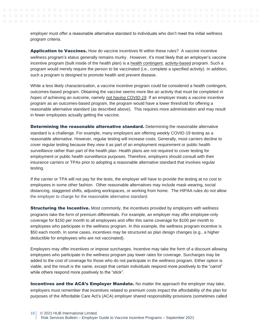employer must offer a reasonable alternative standard to individuals who don't meet the initial wellness program criteria.

Application to Vaccines. How do vaccine incentives fit within these rules? A vaccine incentive wellness program's status generally remains murky. However, it's most likely that an employer's vaccine incentive program (built inside of the health plan) is a health contingent, activity-based program. Such a program would merely require the person to be vaccinated (i.e., complete a specified activity). In addition, such a program is designed to promote health and prevent disease.

While a less likely characterization, a vaccine incentive program could be considered a health contingent, outcomes-based program. Obtaining the vaccine seems more like an activity that must be completed *in hopes of* achieving an outcome, namely *not having COVID-19*. If an employer treats a vaccine incentive program as an outcomes-based program, the program would have a lower threshold for offering a reasonable alternative standard (as described above). This requires more administration and may result in fewer employees actually getting the vaccine.

**Determining the reasonable alternative standard.** Determining the reasonable alternative standard is a challenge. For example, many employers are offering weekly COVID-19 testing as a reasonable alternative. However, regular testing will increase costs. Generally, most carriers decline to cover regular testing because they view it as part of an employment requirement or public health surveillance rather than part of the health plan. Health plans are not required to cover testing for employment or public health surveillance purposes. Therefore, employers should consult with their insurance carriers or TPAs prior to adopting a reasonable alternative standard that involves regular testing.

If the carrier or TPA will not pay for the tests, the employer will have to provide the testing at no cost to employees in some other fashion. Other reasonable alternatives may include mask wearing, social distancing, staggered shifts, adjusting workspaces, or working from home. The HIPAA rules do not allow the employer to charge for the reasonable alternative standard.

**Structuring the Incentive.** Most commonly, the incentives provided by employers with wellness programs take the form of premium differentials. For example, an employer may offer employee-only coverage for \$150 per month to all employees and offer this same coverage for \$100 per month to employees who participate in the wellness program. In this example, the wellness program incentive is \$50 each month. In some cases, incentives may be structured as plan design changes (e.g., a higher deductible for employees who are not vaccinated).

Employers may offer incentives or impose surcharges. Incentive may take the form of a discount allowing employees who participate in the wellness program pay lower rates for coverage. Surcharges may be added to the cost of coverage for those who do not participate in the wellness program. Either option is viable, and the result is the same, except that certain individuals respond more positively to the "carrot" while others respond more positively to the "stick".

Incentives and the ACA's Employer Mandate. No matter the approach the employer may take, employers must remember that incentives related to premium costs impact the affordability of the plan for purposes of the Affordable Care Act's (ACA) employer shared responsibility provisions (sometimes called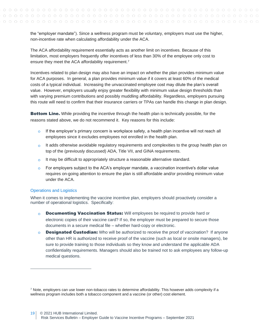the "employer mandate"). Since a wellness program must be voluntary, employers must use the higher, non-incentive rate when calculating affordability under the ACA.

The ACA affordability requirement essentially acts as another limit on incentives. Because of this limitation, most employers frequently offer incentives of less than 30% of the employee only cost to ensure they meet the ACA affordability requirement.<sup>7</sup>

Incentives related to plan design may also have an impact on whether the plan provides minimum value for ACA purposes. In general, a plan provides minimum value if it covers at least 60% of the medical costs of a typical individual. Increasing the unvaccinated employee cost may dilute the plan's overall value. However, employers usually enjoy greater flexibility with minimum value design thresholds than with varying premium contributions and possibly muddling affordability. Regardless, employers pursuing this route will need to confirm that their insurance carriers or TPAs can handle this change in plan design.

**Bottom Line.** While providing the incentive through the health plan is technically possible, for the reasons stated above, we do not recommend it. Key reasons for this include:

- $\circ$  If the employer's primary concern is workplace safety, a health plan incentive will not reach all employees since it excludes employees not enrolled in the health plan.
- $\circ$  It adds otherwise avoidable regulatory requirements and complexities to the group health plan on top of the (previously discussed) ADA, Title VII, and GINA requirements.
- $\Omega$ It may be difficult to appropriately structure a reasonable alternative standard.
- $\circ$  For employers subject to the ACA's employer mandate, a vaccination incentive's dollar value requires on-going attention to ensure the plan is still affordable and/or providing minimum value under the ACA.

#### Operations and Logistics

When it comes to implementing the vaccine incentive plan, employers should proactively consider a number of operational logistics. Specifically:

- $\overline{O}$ **Documenting Vaccination Status:** Will employees be required to provide hard or electronic copies of their vaccine card? If so, the employer must be prepared to secure those documents in a secure medical file – whether hard-copy or electronic.
- **Designated Custodian:** Who will be authorized to receive the proof of vaccination? If anyone  $\Omega$ other than HR is authorized to receive proof of the vaccine (such as local or onsite managers), be sure to provide training to those individuals so they know and understand the applicable ADA confidentiality requirements. Managers should also be trained not to ask employees any follow-up medical questions.

 $7$  Note, employers can use lower non-tobacco rates to determine affordability. This however adds complexity if a wellness program includes both a tobacco component and a vaccine (or other) cost element.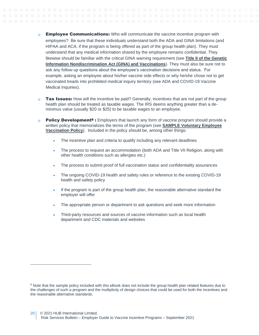- **Employee Communications:** Who will communicate the vaccine incentive program with  $\Omega$ employees? Be sure that these individuals understand both the ADA and GINA limitations (and HIPAA and ACA, if the program is being offered as part of the group health plan). They must understand that any medical information shared by the employee remains confidential. They likewise should be familiar with the critical GINA warning requirement (see **[Title II of the Genetic](#page-9-0)  [Information Nondiscrimination Act \(GINA\) and Vaccinations](#page-9-0)**). They must also be sure not to ask any follow-up questions about the employee's vaccination decisions and status. For example, asking an employee about his/her vaccine side effects or why he/she chose not to get vaccinated treads into prohibited medical inquiry territory (see [ADA and COVID-19 Vaccine](#page-4-0)  [Medical Inquiries\)](#page-4-0).
- **Tax Issues:** How will the incentive be paid? Generally, incentives that are not part of the group  $\Omega$ health plan should be treated as taxable wages. The IRS deems anything greater than a deminimus value (usually \$20 or \$25) to be taxable wages to an employee.
- **Policy Development<sup>8</sup>** : Employers that launch any form of vaccine program should provide a  $\Omega$ written policy that memorializes the terms of the program (see **[SAMPLE Voluntary Employee](#page-21-0)  [Vaccination Policy](#page-21-0)**). Included in the policy should be, among other things:
	- The incentive plan and criteria to qualify including any relevant deadlines
	- The process to request an accommodation (both ADA and Title VII Religion, along with other health conditions such as allergies etc.)
	- The process to submit proof of full vaccination status and confidentiality assurances
	- The ongoing COVID-19 health and safety rules or reference to the existing COVID-19 health and safety policy
	- If the program is part of the group health plan, the reasonable alternative standard the employer will offer
	- The appropriate person or department to ask questions and seek more information
	- Third-party resources and sources of vaccine information such as local health department and CDC materials and websites

<sup>&</sup>lt;sup>8</sup> Note that the sample policy included with this eBook does not include the group health plan related features due to the challenges of such a program and the multiplicity of design choices that could be used for both the incentives and the reasonable alternative standards.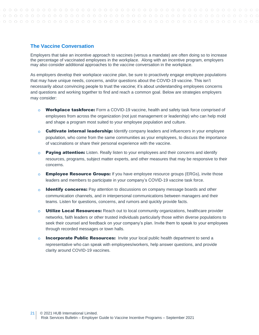## <span id="page-20-0"></span>**The Vaccine Conversation**

Employers that take an incentive approach to vaccines (versus a mandate) are often doing so to increase the percentage of vaccinated employees in the workplace. Along with an incentive program, employers may also consider additional approaches to the vaccine conversation in the workplace.

As employers develop their workplace vaccine plan, be sure to proactively engage employee populations that may have unique needs, concerns, and/or questions about the COVID-19 vaccine. This isn't necessarily about convincing people to trust the vaccine; it's about understanding employees concerns and questions and working together to find and reach a common goal. Below are strategies employers may consider:

- $\circ$  Workplace taskforce: Form a COVID-19 vaccine, health and safety task force comprised of employees from across the organization (not just management or leadership) who can help mold and shape a program most suited to your employee population and culture.
- $\circ$  **Cultivate internal leadership:** Identify company leaders and influencers in your employee population, who come from the same communities as your employees, to discuss the importance of vaccinations or share their personal experience with the vaccine.
- **Paying attention:** Listen. Really listen to your employees and their concerns and identify  $\overline{O}$ resources, programs, subject matter experts, and other measures that may be responsive to their concerns.
- **Employee Resource Groups:** If you have employee resource groups (ERGs), invite those  $\Omega$ leaders and members to participate in your company's COVID-19 vaccine task force.
- **Identify concerns:** Pay attention to discussions on company message boards and other  $\Omega$ communication channels, and in interpersonal communications between managers and their teams. Listen for questions, concerns, and rumors and quickly provide facts.
- $\Omega$ **Utilize Local Resources:** Reach out to local community organizations, healthcare provider networks, faith leaders or other trusted individuals particularly those within diverse populations to seek their counsel and feedback on your company's plan. Invite them to speak to your employees through recorded messages or town halls.
- Incorporate Public Resources:Invite your local public health department to send a representative who can speak with employees/workers, help answer questions, and provide clarity around COVID-19 vaccines.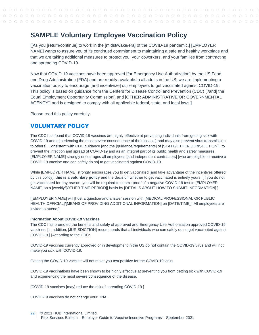# <span id="page-21-0"></span>**SAMPLE Voluntary Employee Vaccination Policy**

[[As you [return/continue] to work in the [midst/wake/era] of the COVID-19 pandemic,] [EMPLOYER NAME] wants to assure you of its continued commitment to maintaining a safe and healthy workplace and that we are taking additional measures to protect you, your coworkers, and your families from contracting and spreading COVID-19.

Now that COVID-19 vaccines have been approved [for Emergency Use Authorization] by the US Food and Drug Administration (FDA) and are readily available to all adults in the US, we are implementing a vaccination policy to encourage [and incentivize] our employees to get vaccinated against COVID-19. This policy is based on guidance from the Centers for Disease Control and Prevention (CDC) [,/and] the Equal Employment Opportunity Commission[, and [OTHER ADMINISTRATIVE OR GOVERNMENTAL AGENCY]] and is designed to comply with all applicable federal, state, and local laws.]

Please read this policy carefully.

# VOLUNTARY POLICY

The CDC has found that COVID-19 vaccines are highly effective at preventing individuals from getting sick with COVID-19 and experiencing the most severe consequence of the disease[, and may also prevent virus transmission to others]. Consistent with CDC guidance [and the [guidance/requirements] of [STATE/OTHER JURISDICTION]], to prevent the infection and spread of COVID-19 and as an integral part of its public health and safety measures, [EMPLOYER NAME] strongly encourages all employees [and independent contractors] [who are eligible to receive a COVID-19 vaccine and can safely do so] to get vaccinated against COVID-19.

While [EMPLOYER NAME] strongly encourages you to get vaccinated [and take advantage of the incentives offered by this policy], **this is a voluntary policy** and the decision whether to get vaccinated is entirely yours. [If you do not get vaccinated for any reason, you will be required to submit proof of a negative COVID-19 test to [EMPLOYER NAME] on a [weekly/[OTHER TIME PERIOD]] basis by [DETAILS ABOUT HOW TO SUBMIT INFORMATION].]

[[EMPLOYER NAME] will [host a question and answer session with [MEDICAL PROFESSIONAL OR PUBLIC HEALTH OFFICIAL]/[MEANS OF PROVIDING ADDITIONAL INFORMATION] on [DATE/TIME]]. All employees are invited to attend.]

#### **Information About COVID-19 Vaccines**

The CDC has promoted the benefits and safety of approved and Emergency Use Authorization approved COVID-19 vaccines. [In addition, [JURISDICTION] recommends that all individuals who can safely do so get vaccinated against COVID-19.] [According to the CDC:

COVID-19 vaccines currently approved or in development in the US do not contain the COVID-19 virus and will not make you sick with COVID-19.

Getting the COVID-19 vaccine will not make you test positive for the COVID-19 virus.

COVID-19 vaccinations have been shown to be highly effective at preventing you from getting sick with COVID-19 and experiencing the most severe consequence of the disease.

[COVID-19 vaccines [may] reduce the risk of spreading COVID-19.]

COVID-19 vaccines do not change your DNA.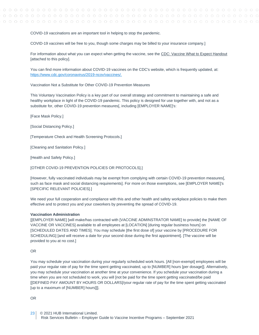#### COVID-19 vaccinations are an important tool in helping to stop the pandemic.

COVID-19 vaccines will be free to you, though some charges may be billed to your insurance company.]

For information about what you can expect when getting the vaccine, see the CDC: Vaccine What to Expect Handout [attached to this policy].

You can find more information about COVID-19 vaccines on the CDC's website, which is frequently updated, at: https://www.cdc.gov/coronavirus/2019-ncov/vaccines/.

Vaccination Not a Substitute for Other COVID-19 Prevention Measures

This Voluntary Vaccination Policy is a key part of our overall strategy and commitment to maintaining a safe and healthy workplace in light of the COVID-19 pandemic. This policy is designed for use together with, and not as a substitute for, other COVID-19 prevention measures[, including [EMPLOYER NAME]'s:

[Face Mask Policy.]

[Social Distancing Policy.]

[Temperature Check and Health Screening Protocols.]

[Cleaning and Sanitation Policy.]

[Health and Safety Policy.]

[OTHER COVID-19 PREVENTION POLICIES OR PROTOCOLS].]

[However, fully vaccinated individuals may be exempt from complying with certain COVID-19 prevention measures[, such as face mask and social distancing requirements]. For more on those exemptions, see [EMPLOYER NAME]'s [SPECIFIC RELEVANT POLICIES].]

We need your full cooperation and compliance with this and other health and safety workplace policies to make them effective and to protect you and your coworkers by preventing the spread of COVID-19.

#### **Vaccination Administration**

[[EMPLOYER NAME] [will make/has contracted with [VACCINE ADMINSTRATOR NAME] to provide] the [NAME OF VACCINE OR VACCINES] available to all employees at [LOCATION] [during regular business hours] on [SCHEDULED DATES AND TIMES]. You may schedule [the first dose of] your vaccine by [PROCEDURE FOR SCHEDULING] [and will receive a date for your second dose during the first appointment]. [The vaccine will be provided to you at no cost.]

#### OR

You may schedule your vaccination during your regularly scheduled work hours. [All [non-exempt] employees will be paid your regular rate of pay for the time spent getting vaccinated, up to [NUMBER] hours [per dosage]]. Alternatively, you may schedule your vaccination at another time at your convenience. If you schedule your vaccination during a time when you are not scheduled to work, you will [not be paid for the time spent getting vaccinated/be paid [[DEFINED PAY AMOUNT BY HOURS OR DOLLARS]/your regular rate of pay for the time spent getting vaccinated [up to a maximum of [NUMBER] hours]]].

OR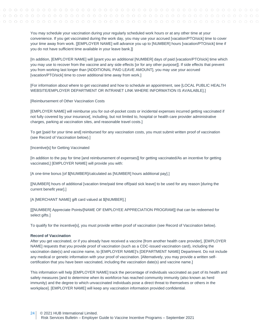You may schedule your vaccination during your regularly scheduled work hours or at any other time at your convenience. If you get vaccinated during the work day, you may use your accrued [vacation/PTO/sick] time to cover your time away from work. [[EMPLOYER NAME] will advance you up to [NUMBER] hours [vacation/PTO/sick] time if you do not have sufficient time available in your leave bank.]]

[In addition, [EMPLOYER NAME] will [grant you an additional [NUMBER] days of paid [vacation/PTO/sick] time which you may use to recover from the vaccine and any side effects [or for any other purpose]]. If side effects that prevent you from working last longer than [ADDITIONAL PAID LEAVE AMOUNT], you may use your accrued [vacation/PTO/sick] time to cover additional time away from work.]

[For information about where to get vaccinated and how to schedule an appointment, see [LOCAL PUBLIC HEALTH WEBSITE/EMPLOYER DEPARTMENT OR INTRANET LINK WHERE INFORMATION IS AVAILABLE].]

[Reimbursement of Other Vaccination Costs

[EMPLOYER NAME] will reimburse you for out-of-pocket costs or incidental expenses incurred getting vaccinated if not fully covered by your insurance[, including, but not limited to, hospital or health care provider administrative charges, parking at vaccination sites, and reasonable travel costs.]

To get [paid for your time and] reimbursed for any vaccination costs, you must submit written proof of vaccination (see Record of Vaccination below).]

[Incentive[s] for Getting Vaccinated

[In addition to the pay for time [and reimbursement of expenses]] for getting vaccinated/As an incentive for getting vaccinated,] [EMPLOYER NAME] will provide you with:

[A one-time bonus [of \$[NUMBER]/calculated as [NUMBER] hours additional pay].]

[[NUMBER] hours of additional [vacation time/paid time off/paid sick leave] to be used for any reason [during the current benefit year].]

[A [MERCHANT NAME] gift card valued at \$[NUMBER].]

[[[NUMBER] Appreciate Points/[NAME OF EMPLOYEE APPRECIATION PROGRAM]] that can be redeemed for select gifts.]

To qualify for the incentive[s], you must provide written proof of vaccination (see Record of Vaccination below).

#### **Record of Vaccination**

After you get vaccinated, or if you already have received a vaccine [from another health care provider], [EMPLOYER NAME] requests that you provide proof of vaccination (such as a CDC-issued vaccination card), including the vaccination date(s) and vaccine name, to [EMPLOYER NAME]'s [DEPARTMENT NAME] Department. Do not include any medical or genetic information with your proof of vaccination. [Alternatively, you may provide a written selfcertification that you have been vaccinated, including the vaccination date(s) and vaccine name.]

This information will help [EMPLOYER NAME] track the percentage of individuals vaccinated as part of its health and safety measures [and to determine when its workforce has reached community immunity (also known as herd immunity) and the degree to which unvaccinated individuals pose a direct threat to themselves or others in the workplace]. [EMPLOYER NAME] will keep any vaccination information provided confidential.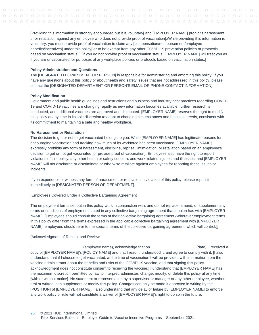[Providing this information is strongly encouraged but it is voluntary[ and [EMPLOYER NAME] prohibits harassment of or retaliation against any employee who does not provide proof of vaccination]./While providing this information is voluntary, you must provide proof of vaccination to claim any [compensation/reimbursement/employee benefits/incentives] under this policy[ or to be exempt from any other COVID-19 prevention policies or protocols based on vaccination status].] [If you do not provide proof of vaccination status, [EMPLOYER NAME] will treat you as if you are unvaccinated for purposes of any workplace policies or protocols based on vaccination status.]

#### **Policy Administration and Questions**

The [DESIGNATED DEPARTMENT OR PERSON] is responsible for administering and enforcing this policy. If you have any questions about this policy or about health and safety issues that are not addressed in this policy, please contact the [DESIGNATED DEPARTMENT OR PERSON'S EMAIL OR PHONE CONTACT INFORMATION].

#### **Policy Modification**

Government and public health guidelines and restrictions and business and industry best practices regarding COVID-19 and COVID-19 vaccines are changing rapidly as new information becomes available, further research is conducted, and additional vaccines are approved and distributed. [EMPLOYER NAME] reserves the right to modify this policy at any time in its sole discretion to adapt to changing circumstances and business needs, consistent with its commitment to maintaining a safe and healthy workplace.

#### **No Harassment or Retaliation**

The decision to get or not to get vaccinated belongs to you. While [EMPLOYER NAME] has legitimate reasons for encouraging vaccination and tracking how much of its workforce has been vaccinated, [EMPLOYER NAME] expressly prohibits any form of harassment, discipline, reprisal, intimidation, or retaliation based on an employee's decision to get or not get vaccinated [or provide proof of vaccination]. Employees also have the right to report violations of this policy, any other health or safety concern, and work-related injuries and illnesses, and [EMPLOYER NAME] will not discharge or discriminate or otherwise retaliate against employees for reporting these issues or incidents.

If you experience or witness any form of harassment or retaliation in violation of this policy, please report it immediately to [DESIGNATED PERSON OR DEPARTMENT].

[Employees Covered Under a Collective Bargaining Agreement

The employment terms set out in this policy work in conjunction with, and do not replace, amend, or supplement any terms or conditions of employment stated in any collective bargaining agreement that a union has with [EMPLOYER NAME]. [Employees should consult the terms of their collective bargaining agreement./Wherever employment terms in this policy differ from the terms expressed in the applicable collective bargaining agreement with [EMPLOYER NAME], employees should refer to the specific terms of the collective bargaining agreement, which will control.]]

#### [Acknowledgment of Receipt and Review

(employee name), acknowledge that on  $\Box$  (date), I received a copy of [EMPLOYER NAME]'s [POLICY NAME] and that I read it, understood it, and agree to comply with it. [I also understand that if I choose to get vaccinated, at the time of vaccination I will be provided with information from the vaccine administrator about the benefits and risks of the COVID-19 vaccine, and that signing this policy acknowledgment does not constitute consent to receiving the vaccine.] I understand that [EMPLOYER NAME] has the maximum discretion permitted by law to interpret, administer, change, modify, or delete this policy at any time [with or without notice]. No statement or representation by a supervisor or manager or any other employee, whether oral or written, can supplement or modify this policy. Changes can only be made if approved in writing by the [POSITION] of [EMPLOYER NAME]. I also understand that any delay or failure by [EMPLOYER NAME] to enforce any work policy or rule will not constitute a waiver of [EMPLOYER NAME]'s right to do so in the future.